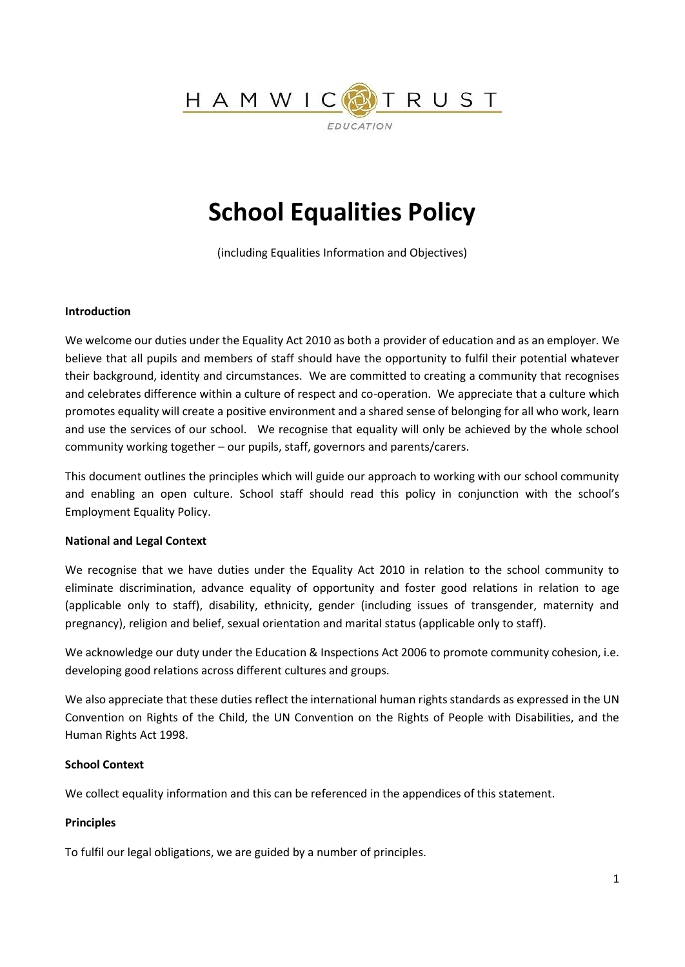

# **School Equalities Policy**

(including Equalities Information and Objectives)

#### **Introduction**

We welcome our duties under the Equality Act 2010 as both a provider of education and as an employer. We believe that all pupils and members of staff should have the opportunity to fulfil their potential whatever their background, identity and circumstances. We are committed to creating a community that recognises and celebrates difference within a culture of respect and co-operation. We appreciate that a culture which promotes equality will create a positive environment and a shared sense of belonging for all who work, learn and use the services of our school. We recognise that equality will only be achieved by the whole school community working together – our pupils, staff, governors and parents/carers.

This document outlines the principles which will guide our approach to working with our school community and enabling an open culture. School staff should read this policy in conjunction with the school's Employment Equality Policy.

#### **National and Legal Context**

We recognise that we have duties under the Equality Act 2010 in relation to the school community to eliminate discrimination, advance equality of opportunity and foster good relations in relation to age (applicable only to staff), disability, ethnicity, gender (including issues of transgender, maternity and pregnancy), religion and belief, sexual orientation and marital status (applicable only to staff).

We acknowledge our duty under the Education & Inspections Act 2006 to promote community cohesion, i.e. developing good relations across different cultures and groups.

We also appreciate that these duties reflect the international human rights standards as expressed in the UN Convention on Rights of the Child, the UN Convention on the Rights of People with Disabilities, and the Human Rights Act 1998.

#### **School Context**

We collect equality information and this can be referenced in the appendices of this statement.

#### **Principles**

To fulfil our legal obligations, we are guided by a number of principles.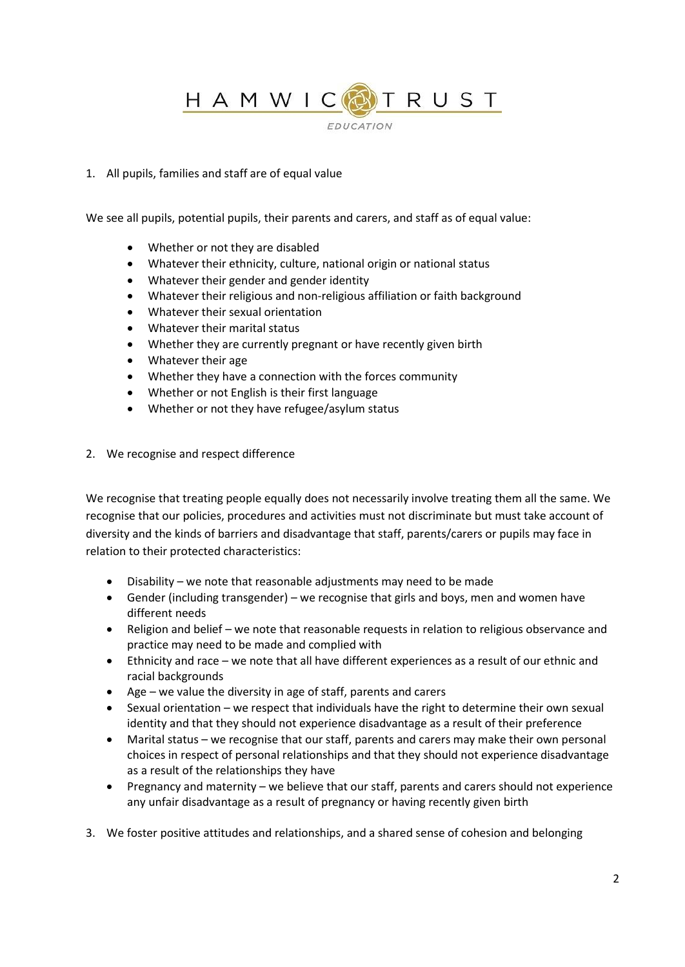HAMWIC RUST **EDUCATION** 

#### 1. All pupils, families and staff are of equal value

We see all pupils, potential pupils, their parents and carers, and staff as of equal value:

- Whether or not they are disabled
- Whatever their ethnicity, culture, national origin or national status
- Whatever their gender and gender identity
- Whatever their religious and non-religious affiliation or faith background
- Whatever their sexual orientation
- Whatever their marital status
- Whether they are currently pregnant or have recently given birth
- Whatever their age
- Whether they have a connection with the forces community
- Whether or not English is their first language
- Whether or not they have refugee/asylum status
- 2. We recognise and respect difference

We recognise that treating people equally does not necessarily involve treating them all the same. We recognise that our policies, procedures and activities must not discriminate but must take account of diversity and the kinds of barriers and disadvantage that staff, parents/carers or pupils may face in relation to their protected characteristics:

- Disability we note that reasonable adjustments may need to be made
- Gender (including transgender) we recognise that girls and boys, men and women have different needs
- Religion and belief we note that reasonable requests in relation to religious observance and practice may need to be made and complied with
- Ethnicity and race we note that all have different experiences as a result of our ethnic and racial backgrounds
- Age we value the diversity in age of staff, parents and carers
- Sexual orientation we respect that individuals have the right to determine their own sexual identity and that they should not experience disadvantage as a result of their preference
- Marital status we recognise that our staff, parents and carers may make their own personal choices in respect of personal relationships and that they should not experience disadvantage as a result of the relationships they have
- Pregnancy and maternity we believe that our staff, parents and carers should not experience any unfair disadvantage as a result of pregnancy or having recently given birth
- 3. We foster positive attitudes and relationships, and a shared sense of cohesion and belonging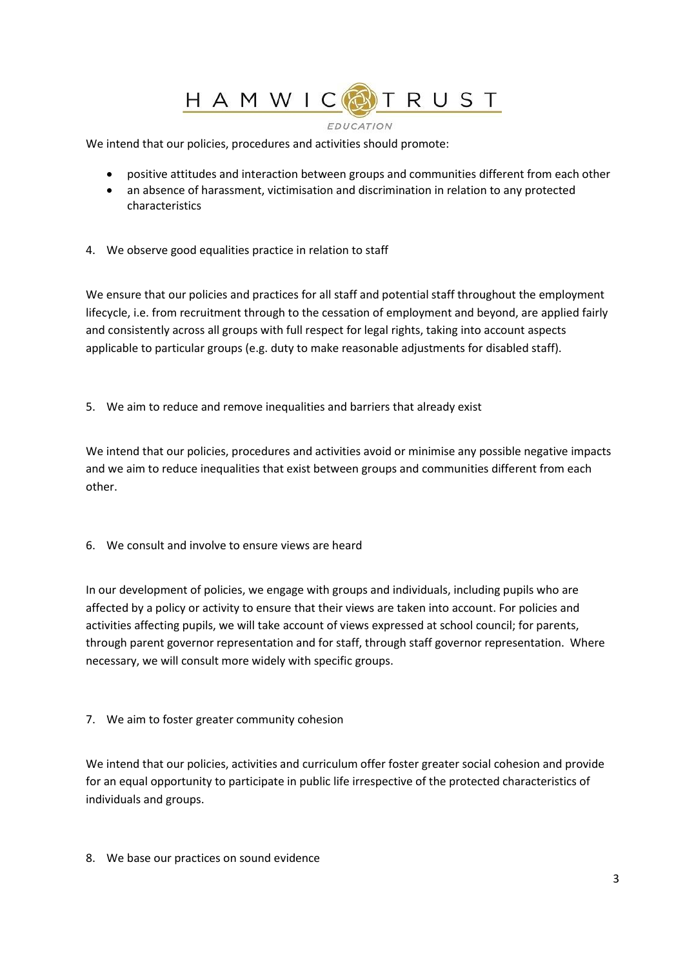## HAMWIC RUST

#### **EDUCATION**

We intend that our policies, procedures and activities should promote:

- positive attitudes and interaction between groups and communities different from each other
- an absence of harassment, victimisation and discrimination in relation to any protected characteristics
- 4. We observe good equalities practice in relation to staff

We ensure that our policies and practices for all staff and potential staff throughout the employment lifecycle, i.e. from recruitment through to the cessation of employment and beyond, are applied fairly and consistently across all groups with full respect for legal rights, taking into account aspects applicable to particular groups (e.g. duty to make reasonable adjustments for disabled staff).

5. We aim to reduce and remove inequalities and barriers that already exist

We intend that our policies, procedures and activities avoid or minimise any possible negative impacts and we aim to reduce inequalities that exist between groups and communities different from each other.

6. We consult and involve to ensure views are heard

In our development of policies, we engage with groups and individuals, including pupils who are affected by a policy or activity to ensure that their views are taken into account. For policies and activities affecting pupils, we will take account of views expressed at school council; for parents, through parent governor representation and for staff, through staff governor representation. Where necessary, we will consult more widely with specific groups.

7. We aim to foster greater community cohesion

We intend that our policies, activities and curriculum offer foster greater social cohesion and provide for an equal opportunity to participate in public life irrespective of the protected characteristics of individuals and groups.

8. We base our practices on sound evidence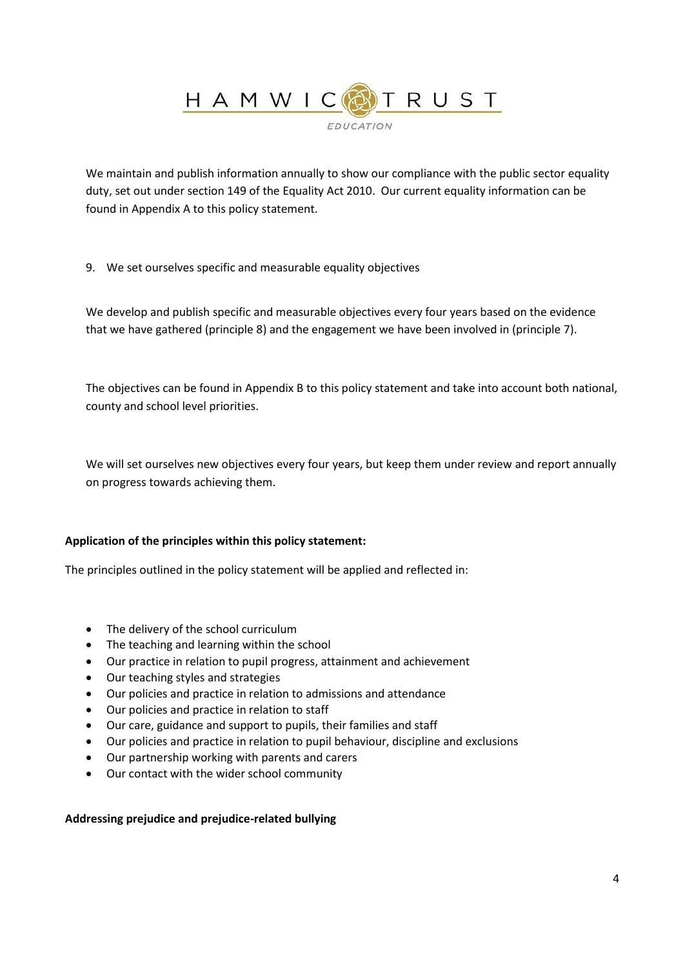

We maintain and publish information annually to show our compliance with the public sector equality duty, set out under section 149 of the Equality Act 2010. Our current equality information can be found in Appendix A to this policy statement.

9. We set ourselves specific and measurable equality objectives

We develop and publish specific and measurable objectives every four years based on the evidence that we have gathered (principle 8) and the engagement we have been involved in (principle 7).

The objectives can be found in Appendix B to this policy statement and take into account both national, county and school level priorities.

We will set ourselves new objectives every four years, but keep them under review and report annually on progress towards achieving them.

#### **Application of the principles within this policy statement:**

The principles outlined in the policy statement will be applied and reflected in:

- The delivery of the school curriculum
- The teaching and learning within the school
- Our practice in relation to pupil progress, attainment and achievement
- Our teaching styles and strategies
- Our policies and practice in relation to admissions and attendance
- Our policies and practice in relation to staff
- Our care, guidance and support to pupils, their families and staff
- Our policies and practice in relation to pupil behaviour, discipline and exclusions
- Our partnership working with parents and carers
- Our contact with the wider school community

#### **Addressing prejudice and prejudice-related bullying**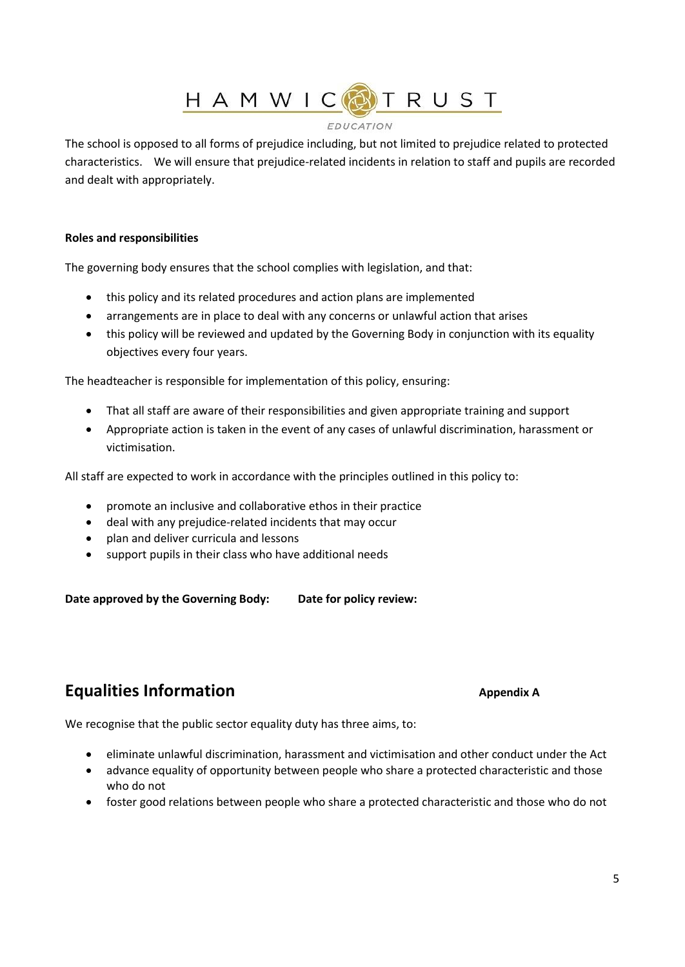HAMWICOTRUST

#### **EDUCATION**

The school is opposed to all forms of prejudice including, but not limited to prejudice related to protected characteristics. We will ensure that prejudice-related incidents in relation to staff and pupils are recorded and dealt with appropriately.

#### **Roles and responsibilities**

The governing body ensures that the school complies with legislation, and that:

- this policy and its related procedures and action plans are implemented
- arrangements are in place to deal with any concerns or unlawful action that arises
- this policy will be reviewed and updated by the Governing Body in conjunction with its equality objectives every four years.

The headteacher is responsible for implementation of this policy, ensuring:

- That all staff are aware of their responsibilities and given appropriate training and support
- Appropriate action is taken in the event of any cases of unlawful discrimination, harassment or victimisation.

All staff are expected to work in accordance with the principles outlined in this policy to:

- promote an inclusive and collaborative ethos in their practice
- deal with any prejudice-related incidents that may occur
- plan and deliver curricula and lessons
- support pupils in their class who have additional needs

Date approved by the Governing Body: Date for policy review:

## **Equalities Information Appendix A Appendix A**

We recognise that the public sector equality duty has three aims, to:

- eliminate unlawful discrimination, harassment and victimisation and other conduct under the Act
- advance equality of opportunity between people who share a protected characteristic and those who do not
- foster good relations between people who share a protected characteristic and those who do not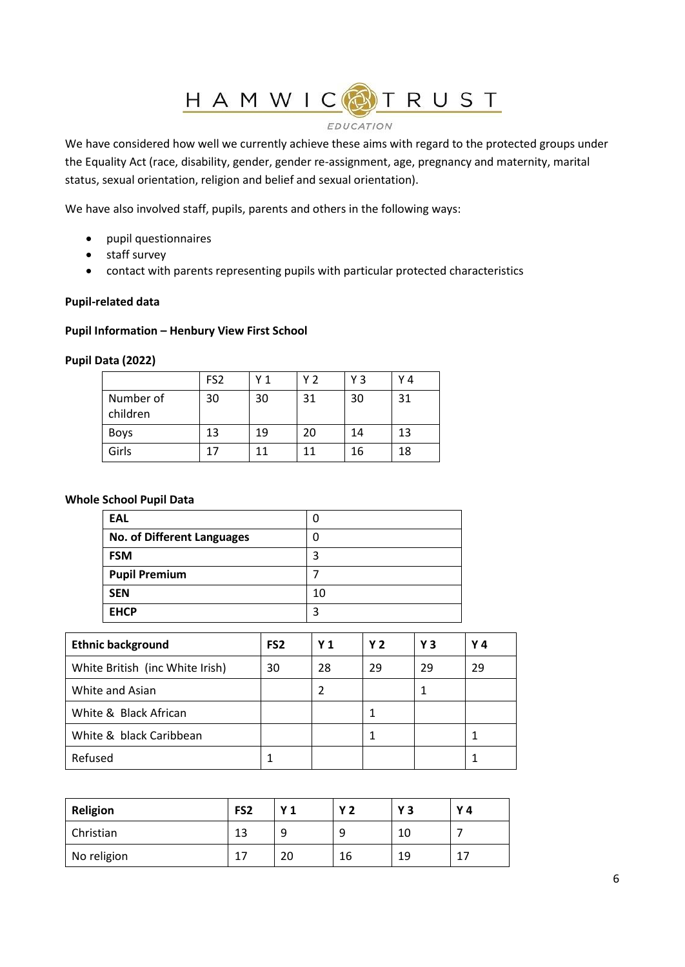# HAMWICOTRUST

#### **EDUCATION**

We have considered how well we currently achieve these aims with regard to the protected groups under the Equality Act (race, disability, gender, gender re-assignment, age, pregnancy and maternity, marital status, sexual orientation, religion and belief and sexual orientation).

We have also involved staff, pupils, parents and others in the following ways:

- pupil questionnaires
- staff survey
- contact with parents representing pupils with particular protected characteristics

#### **Pupil-related data**

#### **Pupil Information – Henbury View First School**

#### **Pupil Data (2022)**

|                       | FS <sub>2</sub> | Y 1 | Y 2 | YЗ | Υ4 |
|-----------------------|-----------------|-----|-----|----|----|
| Number of<br>children | 30              | 30  | 31  | 30 | 31 |
| <b>Boys</b>           | 13              | 19  | 20  | 14 | 13 |
| Girls                 |                 |     | 11  | 16 | 18 |

#### **Whole School Pupil Data**

| EAL                        |    |
|----------------------------|----|
| No. of Different Languages |    |
| <b>FSM</b>                 |    |
| <b>Pupil Premium</b>       |    |
| <b>SEN</b>                 | 10 |
| <b>EHCP</b>                | ໌  |

| <b>Ethnic background</b>        | FS <sub>2</sub> | Y <sub>1</sub> | <b>Y2</b> | Υ3 | Y 4 |
|---------------------------------|-----------------|----------------|-----------|----|-----|
| White British (inc White Irish) | 30              | 28             | 29        | 29 | 29  |
| White and Asian                 |                 | 2              |           |    |     |
| White & Black African           |                 |                |           |    |     |
| White & black Caribbean         |                 |                |           |    |     |
| Refused                         |                 |                |           |    |     |

| Religion    | FS <sub>2</sub> | <b>Y1</b> | <b>Y2</b> | Y3 | Y 4 |
|-------------|-----------------|-----------|-----------|----|-----|
| Christian   | 13              | a         | a         | 10 |     |
| No religion | 17              | 20        | 16        | 19 | 17  |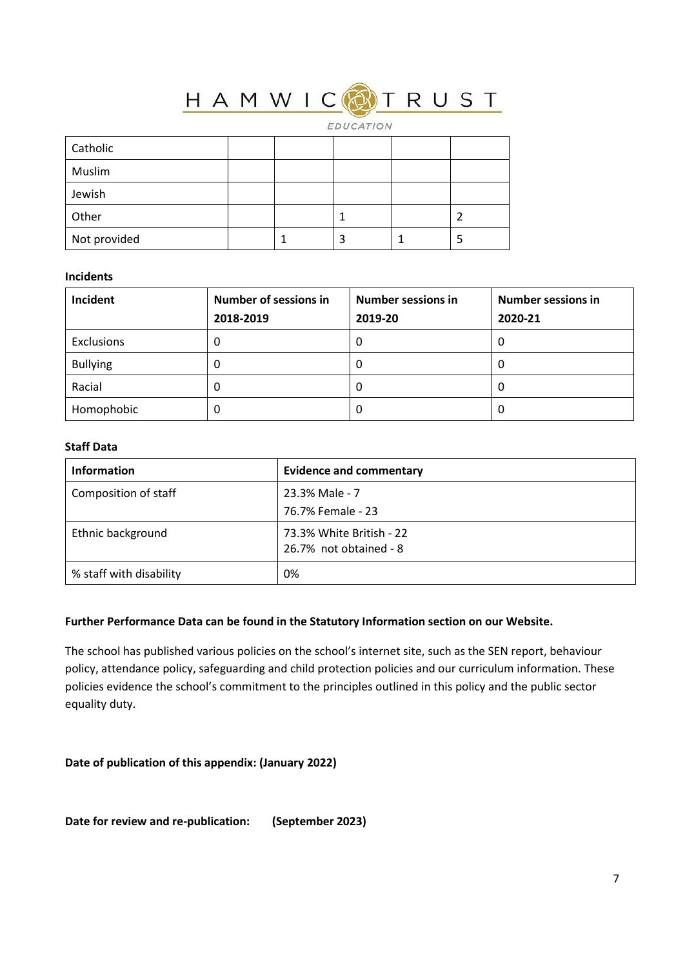### <mark>TRUST</mark> HAMWICO

EDUCATION

| Catholic     |  |   |  |
|--------------|--|---|--|
| Muslim       |  |   |  |
| Jewish       |  |   |  |
| Other        |  |   |  |
| Not provided |  | 3 |  |

#### **Incidents**

| Incident        | <b>Number of sessions in</b><br>2018-2019 | <b>Number sessions in</b><br>2019-20 | <b>Number sessions in</b><br>2020-21 |
|-----------------|-------------------------------------------|--------------------------------------|--------------------------------------|
| Exclusions      | 0                                         | 0                                    | 0                                    |
| <b>Bullying</b> | 0                                         | 0                                    | O                                    |
| Racial          | O                                         | 0                                    | 0                                    |
| Homophobic      | 0                                         | 0                                    | 0                                    |

### **Staff Data**

| <b>Information</b>      | <b>Evidence and commentary</b>                     |
|-------------------------|----------------------------------------------------|
| Composition of staff    | 23.3% Male - 7                                     |
|                         | 76.7% Female - 23                                  |
| Ethnic background       | 73.3% White British - 22<br>26.7% not obtained - 8 |
| % staff with disability | 0%                                                 |

#### **Further Performance Data can be found in the Statutory Information section on our Website.**

The school has published various policies on the school's internet site, such as the SEN report, behaviour policy, attendance policy, safeguarding and child protection policies and our curriculum information. These policies evidence the school's commitment to the principles outlined in this policy and the public sector equality duty.

#### **Date of publication of this appendix: (January 2022)**

**Date for review and re-publication: (September 2023)**